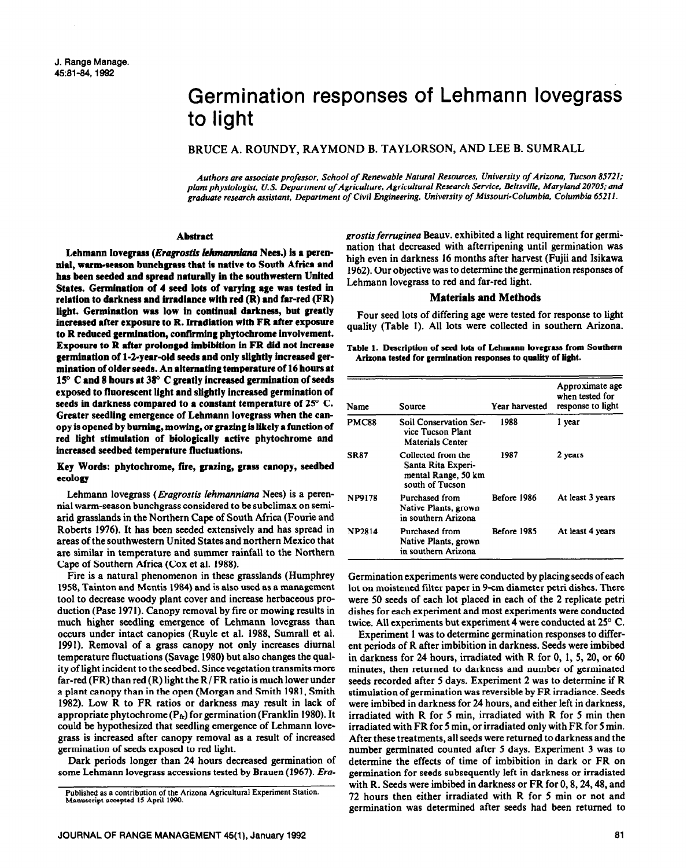# Germination responses of Lehmann lovegrass to light

BRUCE A. ROUNDY, RAYMOND B. TAYLORSON, AND LEE B. SUMRALL

*Authors are associate professor, School of Renewable Natural Resources, University of Arizona, Tucson 85721;*  plant *physiologist, U.S. Department of Agriculture, Agricultural Research Service, Beltsville, Maryland 20705; and graduate research assistant, Department of Civil Engineering,* **University** *of* **Missouri-Columbia,** *Columbia 65211.* 

### **Abstract**

Lehmann lovegrass (*Eragrostis lehmanniana* Nees.) is a peren**nial, warm-season bun&grass that is native to South Africa and has been seeded and spread naturally in the southwestern United**  States. Germination of 4 seed lots of varying age was tested in **relation to darkness and irradiance with red (R) and far-red (FR) light. Germination was low in continual darkness, but greatly increased after exposure to R. Irradiation with FR after exposure to R reduced germination, confirming phytocbrome involvement. Exposure to R after prolonged hnbibition in FR did not increase germination of 1-2-year-old seeds and only slightly increased germination of older seeds. An alternating temperature of 16 hours at 150 C and 8 hours at 380 C greatly increased germination of seeds exposed to fluorescent light and slightly increased germination of seeds in darkness compared to a constant temperature of 25" C. Greater seedling emergence of Lehmann lovegrass when the canopy is opened by burning, mowing, or grazing is** likely a funetion of **red light stimulation of biologically active phytochrome and increased seedbed temperature fluctuations.** 

## **Key Words: phytochrome, fiie, grazing, grass canopy, seedbed ecology**

Lehmann lovegrass *(Eragrostis lehmanniana Nees)* is a perennial warm-season bunchgrass considered to be subclimax on semiarid grasslands in the Northern Cape of South Africa (Fourie and Roberts 1976). It has been seeded extensively and has spread in areas of the southwestern United States and northern Mexico that are similar in temperature and summer rainfall to the Northern Cape of Southern Africa (Cox et al. 1988).

Fire is a natural phenomenon in these grasslands (Humphrey 1958, Tainton and Mentis 1984) and is also used as a management tool to decrease woody plant cover and increase herbaceous production (Pase 1971). Canopy removal by fire or mowing results in much higher seedling emergence of Lehmann lovegrass than occurs under intact canopies (Ruyle et al. 1988, Sumrall et al. 1991). Removal of a grass canopy not only increases diurnal temperature fluctuations (Savage 1980) but also changes the quality of light incident to the seedbed. Since vegetation transmits more far-red (FR) than red (R) light the  $R/FR$  ratio is much lower under a plant canopy than in the open (Morgan and Smith 1981, Smith 1982). Low R to FR ratios or darkness may result in lack of appropriate phytochrome  $(P_{tr})$  for germination (Franklin 1980). It could be hypothesized that seedling emergence of Lehmann lovegrass is increased after canopy removal as a result of increased germination of seeds exposed to red light.

Dark periods longer than 24 hours decreased germination of some Lehmann lovegrass accessions tested by Brauen (1967). *Era-* *grostis ferruginea* Beauv. exhibited a light requirement for germination that decreased with afterripening until germination was high even in darkness 16 months after harvest (Fujii and Isikawa 1962). Our objective was to determine the germination responses of Lehmann lovegrass to red and far-red light.

#### **Materials and Methods**

Four seed lots of differing age were tested for response to light quality (Table 1). All lots were collected in southern Arizona.

#### Table 1. Description of seed lots of Lehmann lovegrass from Southern **Arizona tested for germination responses to quality of light.**

| Name          | Source                                                                             | Year harvested     | Approximate age<br>when tested for<br>response to light |
|---------------|------------------------------------------------------------------------------------|--------------------|---------------------------------------------------------|
| PMC88         | <b>Soil Conservation Ser-</b><br>vice Tucson Plant<br>Materials Center             | 1988               | l year                                                  |
| <b>SR87</b>   | Collected from the<br>Santa Rita Experi-<br>mental Range, 50 km<br>south of Tucson | 1987               | 2 years                                                 |
| <b>NP9178</b> | Purchased from<br>Native Plants, grown<br>in southern Arizona                      | Before 1986        | At least 3 years                                        |
| <b>NP2814</b> | Purchased from<br>Native Plants, grown<br>in southern Arizona                      | <b>Refore 1985</b> | At least 4 years                                        |

Germination experiments were conducted by placing seeds of each lot on moistened filter paper in 9-cm diameter petri dishes. There were 50 seeds of each lot placed in each of the **2** replicate petri dishes for each experiment and most experiments were conducted twice. All experiments but experiment 4 were conducted at 25" C.

Experiment 1 was to determine germination responses to different periods of R after imbibition in darkness. Seeds were imbibed in darkness for 24 hours, irradiated with R for 0, 1, 5, 20, or 60 minutes, then returned to darkness and number of germinated seeds recorded after 5 days. Experiment 2 was to determine if R stimulation of germination was reversible by FR irradiance. Seeds were imbibed in darkness for 24 hours, and either left in darkness, irradiated with R for 5 min, irradiated with R for 5 min then irradiated with FR for 5 min. or irradiated only with FR for 5 min. After these treatments, all seeds were returned to darkness and the number germinated counted after 5 days. Experiment 3 was to determine the effects of time of imbibition in dark or FR on germination for seeds subsequently left in darkness or irradiated with R. Seeds were imbibed in darkness or FR for 0, 8, 24, 48, and 72 hours then either irradiated with R for 5 min or not and germination was determined after seeds had been returned to

**Published as a contribution of the Arizona Agricultural Experiment Station. Manuscript accepted I5 April 1990.**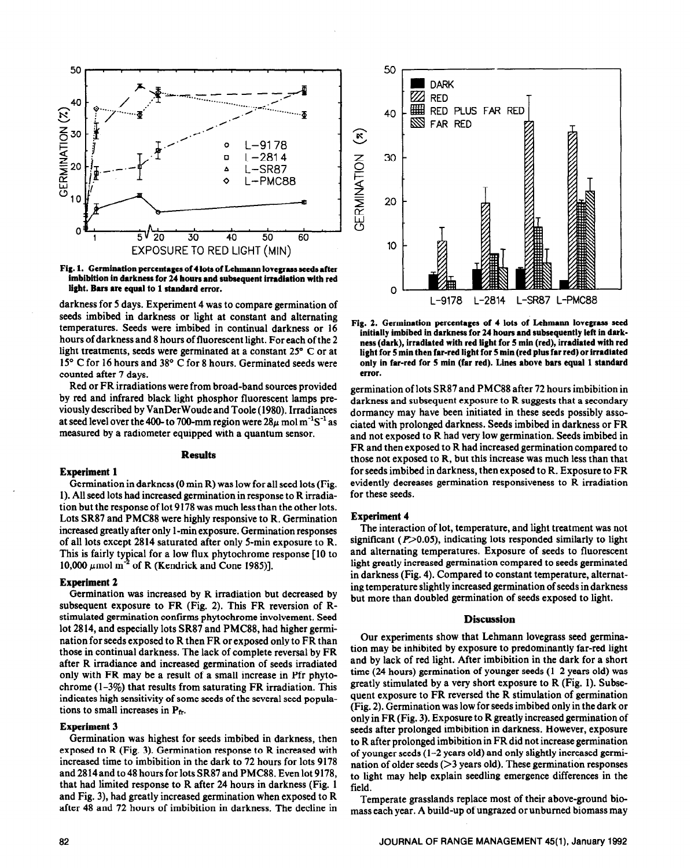

**Fig. 1. Germination percentages of 4 lots of Lehmann lovegrass seeds after imbibition in darkness for 24 hours and subsequent irradiation with red light. Bars are equal to 1 standard error.** 

darkness for 5 days. Experiment 4 was to compare germination of seeds imbibed in darkness or light at constant and alternating temperatures. Seeds were imbibed in continual darkness or 16 hours of darkness and 8 hours of fluorescent light. For each of the 2 light treatments, seeds were germinated at a constant 25° C or at 15° C for 16 hours and 38° C for 8 hours. Germinated seeds were counted after 7 days.

Red or FR irradiations were from broad-band sources provided by red and infrared black light phosphor fluorescent lamps previously described by VanDerWoude and Toole (1980). Irradiances at seed level over the 400- to 700-mm region were  $28\mu$  mol m<sup>-1</sup>S<sup>-1</sup> as measured by a radiometer equipped with a quantum sensor.

# **Results**

#### **Experiment 1**

Germination in darkness (0 min R) was low for all seed lots (Fig. 1). All seed lots had increased germination in response to R irradiation but the response of lot 9178 was much less than the other lots. Lots SR87 and PMC88 were highly responsive to R. Germination increased greatly after only 1 -min exposure. Germination responses of all lots except 2814 saturated after only S-min exposure to R. This is fairly typical for a low flux phytochrome response [ 10 to 10,000  $\mu$ mol m<sup>-2</sup> of R (Kendrick and Cone 1985)].

#### **Experiment 2**

**Germination was increased** by R irradiation but decreased by subsequent exposure to FR (Fig. 2). This FR reversion of Rstimulated germination confirms phytochrome involvement. Seed lot 28 14, and especially lots SR87 and PMC88, had higher germination for seeds exposed to R then FR or exposed only to FR than those in continual darkness. The lack of complete reversal by FR after R irradiance and increased germination of seeds irradiated only with FR may be a result of a small increase in Pfr phytochrome  $(1-3\%)$  that results from saturating FR irradiation. This indicates high sensitivity of some seeds of the several seed populations to small increases in  $P_{fr}$ .

### **Experiment 3**

**Germination was highest for seeds imbibed in darkness, then exposed** to R (Fig. 3). Germination response to R increased with increased time to imbibition in the dark to 72 hours for lots 9178 and 2814and to48 hours **for** lots SR87 and PMC88. Even lot 9178, that had limited response to R after 24 hours in darkness (Fig. 1 and Fig. 3), had greatly increased germination when exposed to R after 48 and 72 hours of imbibition in darkness. The decline in



Fig. 2. Germination percentages of 4 lots of Lehmann lovegrass seed **initially imbibed in darkness for 24 hours and subsequently left in darkness (dark), irradiated with red light for 5 min (red), irradiated with red light for 5 min then far-red light for 5 min (red plus far red) or irradiated only in far-red for 5 min (far red). Lines above bars equal 1 standard error.** 

**germination** of lots SR87 and PMC88 after 72 hours imbibition in darkness and subsequent exposure to R suggests that a secondary dormancy may have been initiated in these seeds possibly associated with prolonged darkness. Seeds imbibed in darkness or FR and not exposed to R had very low germination. Seeds imbibed in FR and then exposed to R had increased germination compared to those not exposed to R, but this increase was much less than that for seeds imbibed in darkness, then exposed to R. Exposure to FR evidently decreases germination responsiveness to R irradiation for these seeds.

#### **Experiment 4**

The interaction of lot, temperature, and light treatment was not significant ( $P$  $>$ 0.05), indicating lots responded similarly to light and alternating temperatures. Exposure of seeds to fluorescent light greatly increased germination compared to seeds germinated in darkness (Fig. 4). Compared to constant temperature, alternating temperature slightly increased germination of seeds in darkness but more than doubled germination of seeds exposed to light.

#### **Discussion**

Our experiments show that Lehmann lovegrass seed germination may be inhibited by exposure to predominantly far-red light and by lack of red light. After imbibition in the dark for a short time (24 hours) germination of younger seeds (l-2 years old) was greatly stimulated by a very short exposure to R (Fig. 1). Subsequent exposure to FR reversed the R stimulation of germination (Fig. 2). Germination was low for seeds imbibed only in the dark or only in FR (Fig. 3). Exposure to R greatly increased germination of seeds after prolonged imbibition in darkness. However, exposure to R after prolonged imbibition in FR did not increase germination of younger seeds (l-2 years old) and only slightly increased germination of older seeds  $($ >3 years old). These germination responses to light may help explain seedling emergence differences in the field.

Temperate grasslands replace most of their above-ground biomass each year. A build-up of ungrazed or unburned biomass may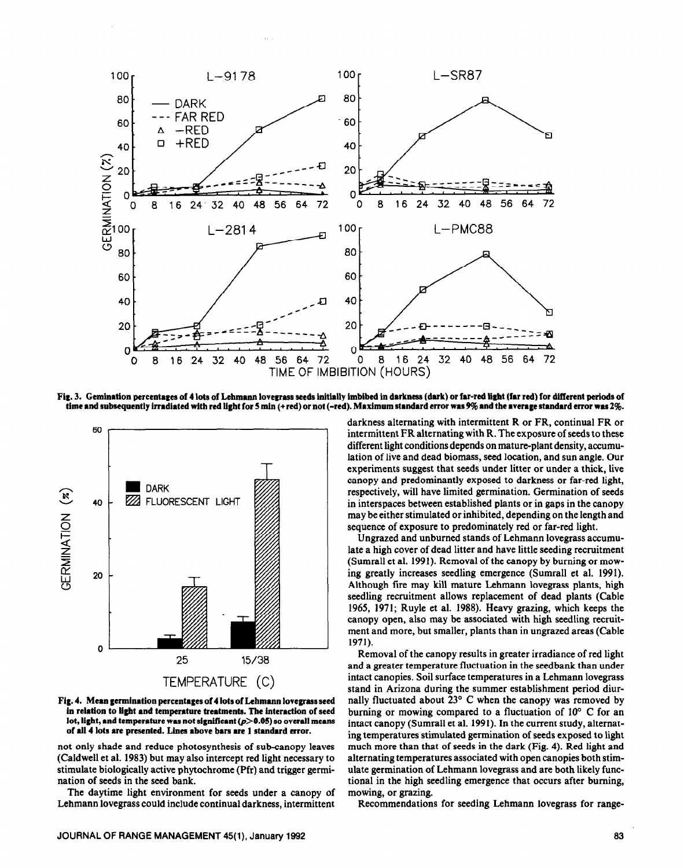

Fig. 3. Gemination percentages of 4 lots of Lehmann lovegrass seeds initially imbibed in darkness (dark) or far-red light (far red) for different periods of time and subsequently irradiated with red light for 5 min (+red) or not (-red). Maximum standard error was 9% and the average standard error was 2%.



**Fig. 4. Mean germination percentages of 4 lots of Lehmann lovegrass seed in relation to light end temperature treatments. The fntenction of seed**  lot, light, and temperature was not significant ( $p$ >0.05) so overall means **of all 4 lots we presented. Linee above bars ue 1 standard error.** 

not only shade and reduce photosynthesis of sub-canopy leaves (Caldwell et al. 1983) but may also intercept red light necessary to stimulate biologically active phytochrome (Pfr) and trigger germination of seeds in the seed bank.

The daytime light environment for seeds under a canopy of Lehmann lovegrass could include continual darkness, intermittent

darkness alternating with intermittent R or FR, continual FR or intermittent FR alternating with R. The exposure of seeds to these different light conditions depends on mature-plant density, accumulation of live and dead biomass, seed location, and sun angle. Our experiments suggest that seeds under litter or under a thick, live canopy and predominantly exposed to darkness or far-red light, respectively, will have limited germination. Germination of seeds in interspaces between established plants or in gaps in the canopy may be either stimulated or inhibited, depending on the length and sequence of exposure to predominately red or far-red light.

Ungrazed and unburned stands of Lehmann lovegrass accumulate a high cover of dead litter and have little seeding recruitment (Sumrall et al. 1991). Removal of the canopy by burning or mowing greatly increases seedling emergence (Sumrall et al. 1991). Although fire may kill mature Lehmann lovegrass plants, high seedling recruitment allows replacement of dead plants (Cable 1965, 1971; Ruyle et al. 1988). Heavy grazing, which keeps the canopy open, also may be associated with high seedling recruitment and more, but smaller, plants than in ungrazed areas (Cable 1971).

Removal of the canopy results in greater irradiance of red light and a greater temperature fluctuation in the seedbank than under intact canopies. Soil surface temperatures in a Lehmann lovegrass stand in Arizona during the summer establishment period diurnally fluctuated about 23° C when the canopy was removed by burning or mowing compared to a fluctuation of  $10^{\circ}$  C for an intact canopy (Sumrall et al. 1991). In the current study, alternating temperatures stimulated germination of seeds exposed to light much more than that of seeds in the dark (Fig. 4). Red light and alternating temperatures associated with open canopies both stimulate germination of Lehmann lovegrass and are both likely functional in the high seedling emergence that occurs after burning, mowing, or grazing.

Recommendations for seeding Lehmann lovegrass for range-